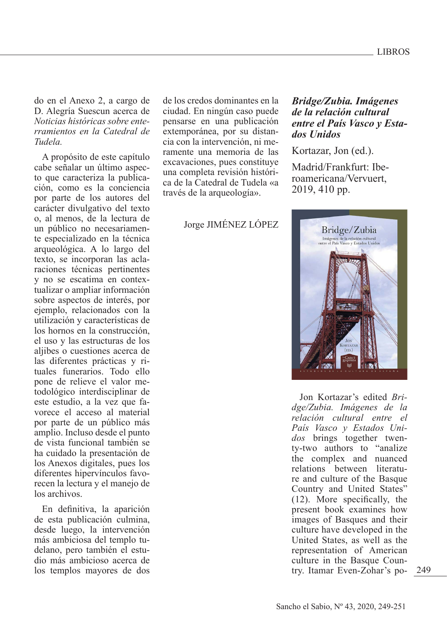do en el Anexo 2, a cargo de D. Alegría Suescun acerca de *Noticias históricas sobre enterramientos en la Catedral de Tudela.* 

A propósito de este capítulo cabe señalar un último aspecto que caracteriza la publicación, como es la conciencia por parte de los autores del carácter divulgativo del texto o, al menos, de la lectura de un público no necesariamente especializado en la técnica arqueológica. A lo largo del texto, se incorporan las aclaraciones técnicas pertinentes y no se escatima en contextualizar o ampliar información sobre aspectos de interés, por ejemplo, relacionados con la utilización y características de los hornos en la construcción, el uso y las estructuras de los aljibes o cuestiones acerca de las diferentes prácticas y rituales funerarios. Todo ello pone de relieve el valor metodológico interdisciplinar de este estudio, a la vez que favorece el acceso al material por parte de un público más amplio. Incluso desde el punto de vista funcional también se ha cuidado la presentación de los Anexos digitales, pues los diferentes hipervínculos favorecen la lectura y el manejo de los archivos.

En definitiva, la aparición de esta publicación culmina, desde luego, la intervención más ambiciosa del templo tudelano, pero también el estudio más ambicioso acerca de los templos mayores de dos

de los credos dominantes en la ciudad. En ningún caso puede pensarse en una publicación extemporánea, por su distancia con la intervención, ni meramente una memoria de las excavaciones, pues constituye una completa revisión histórica de la Catedral de Tudela «a través de la arqueología».

Jorge JIMÉNEZ LÓPEZ

## *Bridge/Zubia. Imágenes de la relación cultural entre el País Vasco y Estados Unidos*

Kortazar, Jon (ed.).

Madrid/Frankfurt: Iberoamericana/Vervuert, 2019, 410 pp.



249 try. Itamar Even-Zohar's po-Jon Kortazar's edited *Bridge/Zubia. Imágenes de la relación cultural entre el País Vasco y Estados Unidos* brings together twenty-two authors to "analize the complex and nuanced relations between literature and culture of the Basque Country and United States" (12). More specifically, the present book examines how images of Basques and their culture have developed in the United States, as well as the representation of American culture in the Basque Coun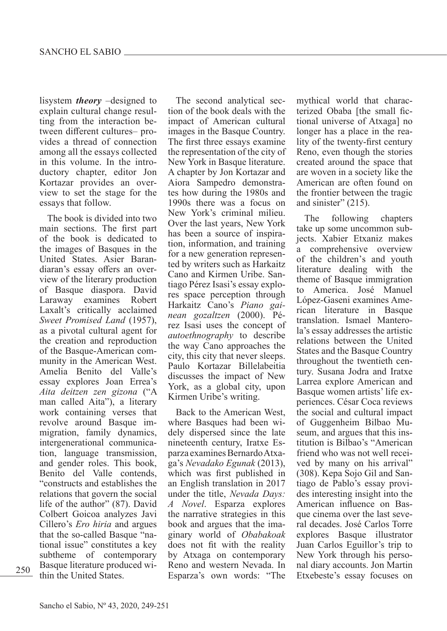lisystem *theory* –designed to explain cultural change resulting from the interaction between different cultures– provides a thread of connection among all the essays collected in this volume. In the introductory chapter, editor Jon Kortazar provides an overview to set the stage for the essays that follow.

The book is divided into two main sections. The first part of the book is dedicated to the images of Basques in the United States. Asier Barandiaran's essay offers an overview of the literary production of Basque diaspora. David Laraway examines Robert Laxalt's critically acclaimed *Sweet Promised Land* (1957), as a pivotal cultural agent for the creation and reproduction of the Basque-American community in the American West. Amelia Benito del Valle's essay explores Joan Errea's *Aita deitzen zen gizona* ("A man called Aita"), a literary work containing verses that revolve around Basque immigration, family dynamics, intergenerational communication, language transmission, and gender roles. This book, Benito del Valle contends, "constructs and establishes the relations that govern the social life of the author" (87). David Colbert Goicoa analyzes Javi Cillero's *Ero hiria* and argues that the so-called Basque "national issue" constitutes a key subtheme of contemporary Basque literature produced within the United States.

The second analytical section of the book deals with the impact of American cultural images in the Basque Country. The first three essays examine the representation of the city of New York in Basque literature. A chapter by Jon Kortazar and Aiora Sampedro demonstrates how during the 1980s and 1990s there was a focus on New York's criminal milieu. Over the last years, New York has been a source of inspiration, information, and training for a new generation represented by writers such as Harkaitz Cano and Kirmen Uribe. Santiago Pérez Isasi's essay explores space perception through Harkaitz Cano's *Piano gainean gozaltzen* (2000). Pérez Isasi uses the concept of *autoethnography* to describe the way Cano approaches the city, this city that never sleeps. Paulo Kortazar Billelabeitia discusses the impact of New York, as a global city, upon Kirmen Uribe's writing.

Back to the American West, where Basques had been widely dispersed since the late nineteenth century, Iratxe Esparza examines Bernardo Atxaga's *Nevadako Egunak* (2013), which was first published in an English translation in 2017 under the title, *Nevada Days: A Novel*. Esparza explores the narrative strategies in this book and argues that the imaginary world of *Obabakoak*  does not fit with the reality by Atxaga on contemporary Reno and western Nevada. In 250 Basque increature produced with Newsley Newsletti Nevada. In that drary accounts. Join Martin the United States. Esparza's own words: "The Etxebeste's essay focuses on

mythical world that characterized Obaba [the small fictional universe of Atxaga] no longer has a place in the reality of the twenty-first century Reno, even though the stories created around the space that are woven in a society like the American are often found on the frontier between the tragic and sinister" (215).

The following chapters take up some uncommon subjects. Xabier Etxaniz makes comprehensive overview of the children's and youth literature dealing with the theme of Basque immigration to America. José Manuel López-Gaseni examines American literature in Basque translation. Ismael Manterola's essay addresses the artistic relations between the United States and the Basque Country throughout the twentieth century. Susana Jodra and Iratxe Larrea explore American and Basque women artists' life experiences. César Coca reviews the social and cultural impact of Guggenheim Bilbao Museum, and argues that this institution is Bilbao's "American friend who was not well received by many on his arrival" (308). Kepa Sojo Gil and Santiago de Pablo's essay provides interesting insight into the American influence on Basque cinema over the last several decades. José Carlos Torre explores Basque illustrator Juan Carlos Eguillor's trip to New York through his personal diary accounts. Jon Martin